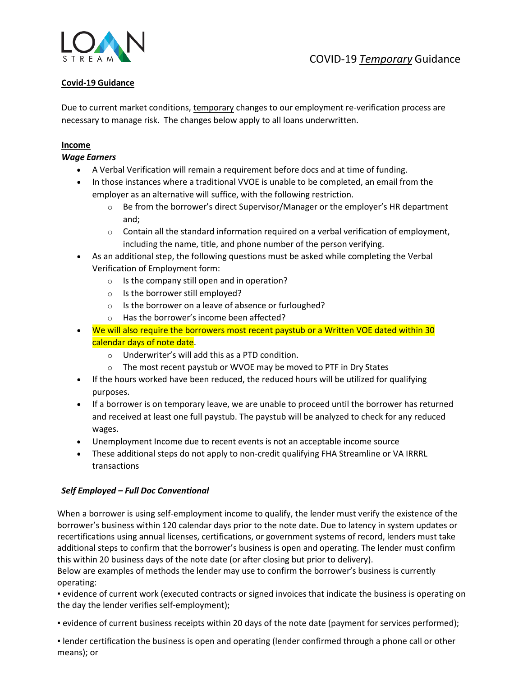

# **Covid-19 Guidance**

Due to current market conditions, temporary changes to our employment re-verification process are necessary to manage risk. The changes below apply to all loans underwritten.

## **Income**

## *Wage Earners*

- A Verbal Verification will remain a requirement before docs and at time of funding.
- In those instances where a traditional VVOE is unable to be completed, an email from the employer as an alternative will suffice, with the following restriction.
	- $\circ$  Be from the borrower's direct Supervisor/Manager or the employer's HR department and;
	- $\circ$  Contain all the standard information required on a verbal verification of employment, including the name, title, and phone number of the person verifying.
- As an additional step, the following questions must be asked while completing the Verbal Verification of Employment form:
	- o Is the company still open and in operation?
	- o Is the borrower still employed?
	- o Is the borrower on a leave of absence or furloughed?
	- o Has the borrower's income been affected?
- We will also require the borrowers most recent paystub or a Written VOE dated within 30 calendar days of note date.
	- o Underwriter's will add this as a PTD condition.
	- o The most recent paystub or WVOE may be moved to PTF in Dry States
- If the hours worked have been reduced, the reduced hours will be utilized for qualifying purposes.
- If a borrower is on temporary leave, we are unable to proceed until the borrower has returned and received at least one full paystub. The paystub will be analyzed to check for any reduced wages.
- Unemployment Income due to recent events is not an acceptable income source
- These additional steps do not apply to non-credit qualifying FHA Streamline or VA IRRRL transactions

## *Self Employed – Full Doc Conventional*

When a borrower is using self-employment income to qualify, the lender must verify the existence of the borrower's business within 120 calendar days prior to the note date. Due to latency in system updates or recertifications using annual licenses, certifications, or government systems of record, lenders must take additional steps to confirm that the borrower's business is open and operating. The lender must confirm this within 20 business days of the note date (or after closing but prior to delivery).

Below are examples of methods the lender may use to confirm the borrower's business is currently operating:

▪ evidence of current work (executed contracts or signed invoices that indicate the business is operating on the day the lender verifies self-employment);

▪ evidence of current business receipts within 20 days of the note date (payment for services performed);

▪ lender certification the business is open and operating (lender confirmed through a phone call or other means); or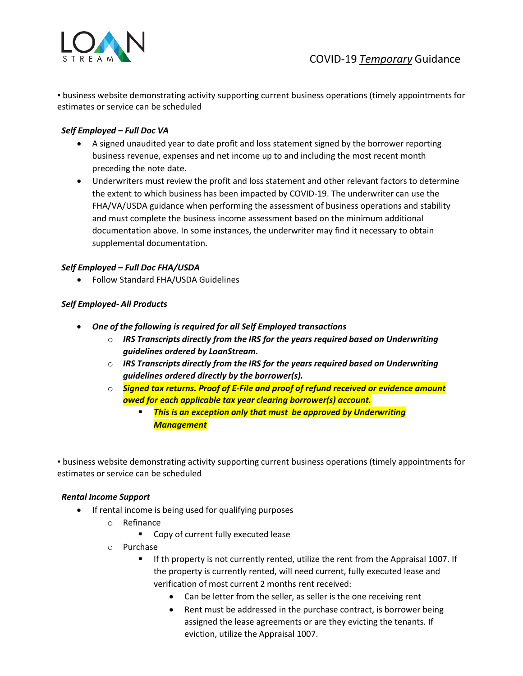

▪ business website demonstrating activity supporting current business operations (timely appointments for estimates or service can be scheduled

## *Self Employed – Full Doc VA*

- A signed unaudited year to date profit and loss statement signed by the borrower reporting business revenue, expenses and net income up to and including the most recent month preceding the note date.
- Underwriters must review the profit and loss statement and other relevant factors to determine the extent to which business has been impacted by COVID-19. The underwriter can use the FHA/VA/USDA guidance when performing the assessment of business operations and stability and must complete the business income assessment based on the minimum additional documentation above. In some instances, the underwriter may find it necessary to obtain supplemental documentation.

## *Self Employed – Full Doc FHA/USDA*

• Follow Standard FHA/USDA Guidelines

## *Self Employed- All Products*

- *One of the following is required for all Self Employed transactions*
	- o *IRS Transcripts directly from the IRS for the years required based on Underwriting guidelines ordered by LoanStream.*
	- o *IRS Transcripts directly from the IRS for the years required based on Underwriting guidelines ordered directly by the borrower(s).*
	- o *Signed tax returns. Proof of E-File and proof of refund received or evidence amount owed for each applicable tax year clearing borrower(s) account.*
		- *This is an exception only that must be approved by Underwriting Management*

▪ business website demonstrating activity supporting current business operations (timely appointments for estimates or service can be scheduled

#### *Rental Income Support*

- If rental income is being used for qualifying purposes
	- o Refinance
		- Copy of current fully executed lease
	- o Purchase
		- If th property is not currently rented, utilize the rent from the Appraisal 1007. If the property is currently rented, will need current, fully executed lease and verification of most current 2 months rent received:
			- Can be letter from the seller, as seller is the one receiving rent
			- Rent must be addressed in the purchase contract, is borrower being assigned the lease agreements or are they evicting the tenants. If eviction, utilize the Appraisal 1007.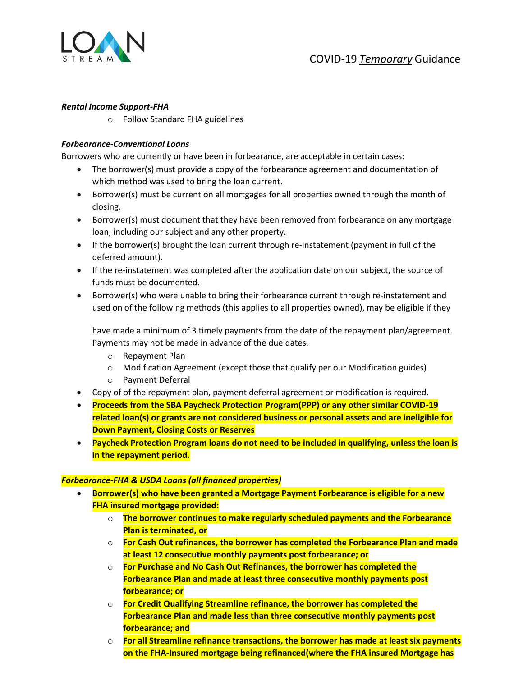

### *Rental Income Support-FHA*

o Follow Standard FHA guidelines

## *Forbearance-Conventional Loans*

Borrowers who are currently or have been in forbearance, are acceptable in certain cases:

- The borrower(s) must provide a copy of the forbearance agreement and documentation of which method was used to bring the loan current.
- Borrower(s) must be current on all mortgages for all properties owned through the month of closing.
- Borrower(s) must document that they have been removed from forbearance on any mortgage loan, including our subject and any other property.
- If the borrower(s) brought the loan current through re-instatement (payment in full of the deferred amount).
- If the re-instatement was completed after the application date on our subject, the source of funds must be documented.
- Borrower(s) who were unable to bring their forbearance current through re-instatement and used on of the following methods (this applies to all properties owned), may be eligible if they

have made a minimum of 3 timely payments from the date of the repayment plan/agreement. Payments may not be made in advance of the due dates.

- o Repayment Plan
- o Modification Agreement (except those that qualify per our Modification guides)
- o Payment Deferral
- Copy of of the repayment plan, payment deferral agreement or modification is required.
- **Proceeds from the SBA Paycheck Protection Program(PPP) or any other similar COVID-19 related loan(s) or grants are not considered business or personal assets and are ineligible for Down Payment, Closing Costs or Reserves**
- **Paycheck Protection Program loans do not need to be included in qualifying, unless the loan is in the repayment period.**

#### *Forbearance-FHA & USDA Loans (all financed properties)*

- **Borrower(s) who have been granted a Mortgage Payment Forbearance is eligible for a new FHA insured mortgage provided:**
	- o **The borrower continues to make regularly scheduled payments and the Forbearance Plan is terminated, or**
	- o **For Cash Out refinances, the borrower has completed the Forbearance Plan and made at least 12 consecutive monthly payments post forbearance; or**
	- o **For Purchase and No Cash Out Refinances, the borrower has completed the Forbearance Plan and made at least three consecutive monthly payments post forbearance; or**
	- o **For Credit Qualifying Streamline refinance, the borrower has completed the Forbearance Plan and made less than three consecutive monthly payments post forbearance; and**
	- o **For all Streamline refinance transactions, the borrower has made at least six payments on the FHA-Insured mortgage being refinanced(where the FHA insured Mortgage has**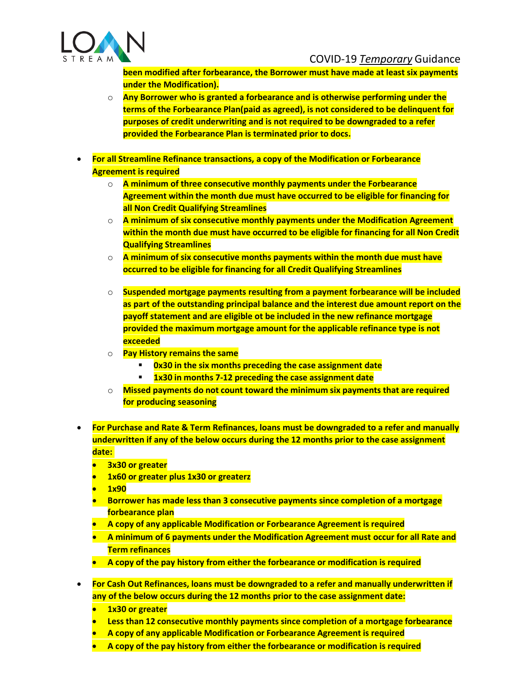

**been modified after forbearance, the Borrower must have made at least six payments under the Modification).**

- o **Any Borrower who is granted a forbearance and is otherwise performing under the terms of the Forbearance Plan(paid as agreed), is not considered to be delinquent for purposes of credit underwriting and is not required to be downgraded to a refer provided the Forbearance Plan is terminated prior to docs.**
- **For all Streamline Refinance transactions, a copy of the Modification or Forbearance Agreement is required**
	- o **A minimum of three consecutive monthly payments under the Forbearance Agreement within the month due must have occurred to be eligible for financing for all Non Credit Qualifying Streamlines**
	- o **A minimum of six consecutive monthly payments under the Modification Agreement within the month due must have occurred to be eligible for financing for all Non Credit Qualifying Streamlines**
	- o **A minimum of six consecutive months payments within the month due must have occurred to be eligible for financing for all Credit Qualifying Streamlines**
	- o **Suspended mortgage payments resulting from a payment forbearance will be included as part of the outstanding principal balance and the interest due amount report on the payoff statement and are eligible ot be included in the new refinance mortgage provided the maximum mortgage amount for the applicable refinance type is not exceeded**
	- o **Pay History remains the same**
		- **0x30 in the six months preceding the case assignment date**
		- **1x30 in months 7-12 preceding the case assignment date**
	- o **Missed payments do not count toward the minimum six payments that are required for producing seasoning**
- **For Purchase and Rate & Term Refinances, loans must be downgraded to a refer and manually underwritten if any of the below occurs during the 12 months prior to the case assignment date:**
	- **3x30 or greater**
	- **1x60 or greater plus 1x30 or greaterz**
	- **1x90**
	- **Borrower has made less than 3 consecutive payments since completion of a mortgage forbearance plan**
	- **A copy of any applicable Modification or Forbearance Agreement is required**
	- **A minimum of 6 payments under the Modification Agreement must occur for all Rate and Term refinances**
	- **A copy of the pay history from either the forbearance or modification is required**
- **For Cash Out Refinances, loans must be downgraded to a refer and manually underwritten if any of the below occurs during the 12 months prior to the case assignment date:**
	- **1x30 or greater**
	- **Less than 12 consecutive monthly payments since completion of a mortgage forbearance**
	- **A copy of any applicable Modification or Forbearance Agreement is required**
	- **A copy of the pay history from either the forbearance or modification is required**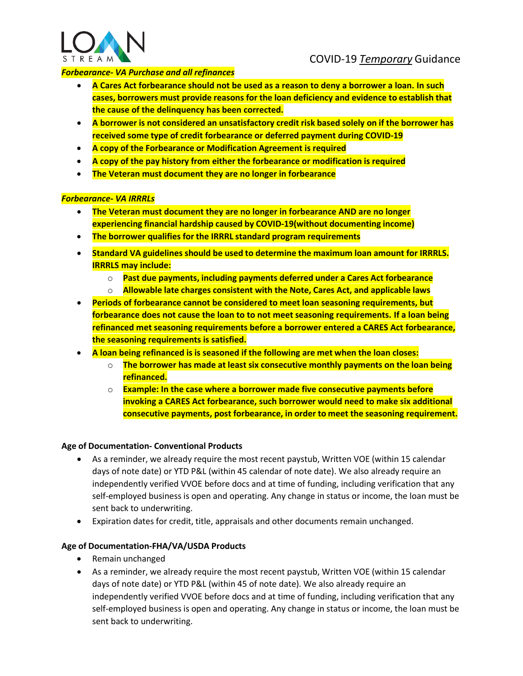

## *Forbearance- VA Purchase and all refinances*

- **A Cares Act forbearance should not be used as a reason to deny a borrower a loan. In such cases, borrowers must provide reasons for the loan deficiency and evidence to establish that the cause of the delinquency has been corrected.**
- **A borrower is not considered an unsatisfactory credit risk based solely on if the borrower has received some type of credit forbearance or deferred payment during COVID-19**
- **A copy of the Forbearance or Modification Agreement is required**
- **A copy of the pay history from either the forbearance or modification is required**
- **The Veteran must document they are no longer in forbearance**

#### *Forbearance- VA IRRRLs*

- **The Veteran must document they are no longer in forbearance AND are no longer experiencing financial hardship caused by COVID-19(without documenting income)**
- **The borrower qualifies for the IRRRL standard program requirements**
- **Standard VA guidelines should be used to determine the maximum loan amount for IRRRLS. IRRRLS may include:**
	- o **Past due payments, including payments deferred under a Cares Act forbearance**
	- o **Allowable late charges consistent with the Note, Cares Act, and applicable laws**
- **Periods of forbearance cannot be considered to meet loan seasoning requirements, but forbearance does not cause the loan to to not meet seasoning requirements. If a loan being refinanced met seasoning requirements before a borrower entered a CARES Act forbearance, the seasoning requirements is satisfied.**
- **A loan being refinanced is is seasoned if the following are met when the loan closes:**
	- o **The borrower has made at least six consecutive monthly payments on the loan being refinanced.**
	- o **Example: In the case where a borrower made five consecutive payments before invoking a CARES Act forbearance, such borrower would need to make six additional consecutive payments, post forbearance, in order to meet the seasoning requirement.**

#### **Age of Documentation- Conventional Products**

- As a reminder, we already require the most recent paystub, Written VOE (within 15 calendar days of note date) or YTD P&L (within 45 calendar of note date). We also already require an independently verified VVOE before docs and at time of funding, including verification that any self-employed business is open and operating. Any change in status or income, the loan must be sent back to underwriting.
- Expiration dates for credit, title, appraisals and other documents remain unchanged.

#### **Age of Documentation-FHA/VA/USDA Products**

- Remain unchanged
- As a reminder, we already require the most recent paystub, Written VOE (within 15 calendar days of note date) or YTD P&L (within 45 of note date). We also already require an independently verified VVOE before docs and at time of funding, including verification that any self-employed business is open and operating. Any change in status or income, the loan must be sent back to underwriting.